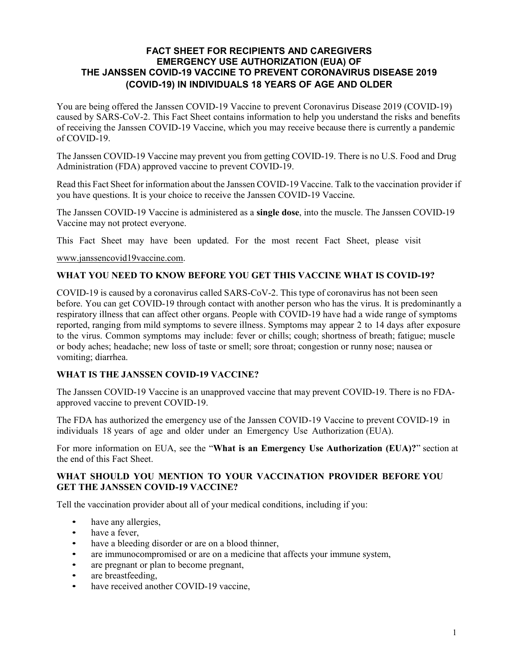## **FACT SHEET FOR RECIPIENTS AND CAREGIVERS EMERGENCY USE AUTHORIZATION (EUA) OF THE JANSSEN COVID-19 VACCINE TO PREVENT CORONAVIRUS DISEASE 2019 (COVID-19) IN INDIVIDUALS 18 YEARS OF AGE AND OLDER**

You are being offered the Janssen COVID-19 Vaccine to prevent Coronavirus Disease 2019 (COVID-19) caused by SARS-CoV-2. This Fact Sheet contains information to help you understand the risks and benefits of receiving the Janssen COVID-19 Vaccine, which you may receive because there is currently a pandemic of COVID-19.

The Janssen COVID-19 Vaccine may prevent you from getting COVID-19. There is no U.S. Food and Drug Administration (FDA) approved vaccine to prevent COVID-19.

Read this Fact Sheet for information about the Janssen COVID-19 Vaccine. Talk to the vaccination provider if you have questions. It is your choice to receive the Janssen COVID-19 Vaccine*.*

The Janssen COVID-19 Vaccine is administered as a **single dose**, into the muscle. The Janssen COVID-19 Vaccine may not protect everyone.

This Fact Sheet may have been updated. For the most recent Fact Sheet, please visit

www.janssencovid19vaccine.com.

#### **WHAT YOU NEED TO KNOW BEFORE YOU GET THIS VACCINE WHAT IS COVID-19?**

COVID-19 is caused by a coronavirus called SARS-CoV-2. This type of coronavirus has not been seen before. You can get COVID-19 through contact with another person who has the virus. It is predominantly a respiratory illness that can affect other organs. People with COVID-19 have had a wide range of symptoms reported, ranging from mild symptoms to severe illness. Symptoms may appear 2 to 14 days after exposure to the virus. Common symptoms may include: fever or chills; cough; shortness of breath; fatigue; muscle or body aches; headache; new loss of taste or smell; sore throat; congestion or runny nose; nausea or vomiting; diarrhea.

## **WHAT IS THE JANSSEN COVID-19 VACCINE?**

The Janssen COVID-19 Vaccine is an unapproved vaccine that may prevent COVID-19. There is no FDAapproved vaccine to prevent COVID-19.

The FDA has authorized the emergency use of the Janssen COVID-19 Vaccine to prevent COVID-19 in individuals 18 years of age and older under an Emergency Use Authorization (EUA).

For more information on EUA, see the "**What is an Emergency Use Authorization (EUA)?**" section at the end of this Fact Sheet.

#### **WHAT SHOULD YOU MENTION TO YOUR VACCINATION PROVIDER BEFORE YOU GET THE JANSSEN COVID-19 VACCINE?**

Tell the vaccination provider about all of your medical conditions, including if you:

- have any allergies,
- have a fever,
- have a bleeding disorder or are on a blood thinner,
- are immunocompromised or are on a medicine that affects your immune system,
- are pregnant or plan to become pregnant,
- are breastfeeding,
- have received another COVID-19 vaccine,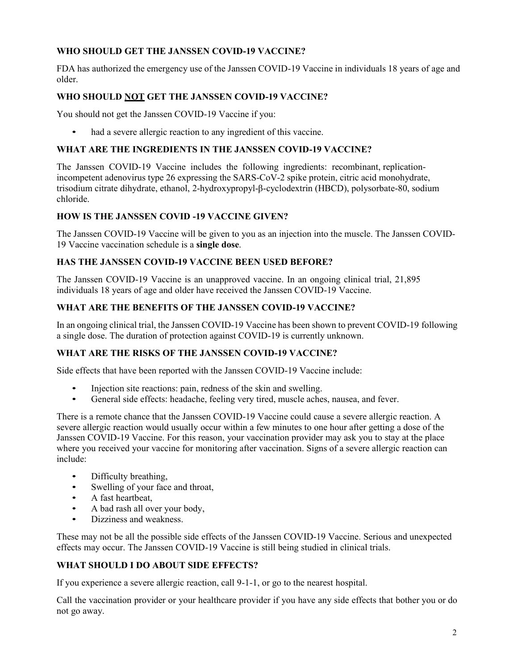# **WHO SHOULD GET THE JANSSEN COVID-19 VACCINE?**

FDA has authorized the emergency use of the Janssen COVID-19 Vaccine in individuals 18 years of age and older.

## **WHO SHOULD NOT GET THE JANSSEN COVID-19 VACCINE?**

You should not get the Janssen COVID-19 Vaccine if you:

• had a severe allergic reaction to any ingredient of this vaccine.

### **WHAT ARE THE INGREDIENTS IN THE JANSSEN COVID-19 VACCINE?**

The Janssen COVID-19 Vaccine includes the following ingredients: recombinant, replicationincompetent adenovirus type 26 expressing the SARS-CoV-2 spike protein, citric acid monohydrate, trisodium citrate dihydrate, ethanol, 2-hydroxypropyl-β-cyclodextrin (HBCD), polysorbate-80, sodium chloride.

## **HOW IS THE JANSSEN COVID -19 VACCINE GIVEN?**

The Janssen COVID-19 Vaccine will be given to you as an injection into the muscle. The Janssen COVID-19 Vaccine vaccination schedule is a **single dose**.

#### **HAS THE JANSSEN COVID-19 VACCINE BEEN USED BEFORE?**

The Janssen COVID-19 Vaccine is an unapproved vaccine. In an ongoing clinical trial, 21,895 individuals 18 years of age and older have received the Janssen COVID-19 Vaccine.

## **WHAT ARE THE BENEFITS OF THE JANSSEN COVID-19 VACCINE?**

In an ongoing clinical trial, the Janssen COVID-19 Vaccine has been shown to prevent COVID-19 following a single dose. The duration of protection against COVID-19 is currently unknown.

# **WHAT ARE THE RISKS OF THE JANSSEN COVID-19 VACCINE?**

Side effects that have been reported with the Janssen COVID-19 Vaccine include:

- Injection site reactions: pain, redness of the skin and swelling.
- General side effects: headache, feeling very tired, muscle aches, nausea, and fever.

There is a remote chance that the Janssen COVID-19 Vaccine could cause a severe allergic reaction. A severe allergic reaction would usually occur within a few minutes to one hour after getting a dose of the Janssen COVID-19 Vaccine. For this reason, your vaccination provider may ask you to stay at the place where you received your vaccine for monitoring after vaccination. Signs of a severe allergic reaction can include:

- Difficulty breathing,
- Swelling of your face and throat,
- A fast heartbeat,
- A bad rash all over your body,
- Dizziness and weakness.

These may not be all the possible side effects of the Janssen COVID-19 Vaccine. Serious and unexpected effects may occur. The Janssen COVID-19 Vaccine is still being studied in clinical trials.

## **WHAT SHOULD I DO ABOUT SIDE EFFECTS?**

If you experience a severe allergic reaction, call 9-1-1, or go to the nearest hospital.

Call the vaccination provider or your healthcare provider if you have any side effects that bother you or do not go away.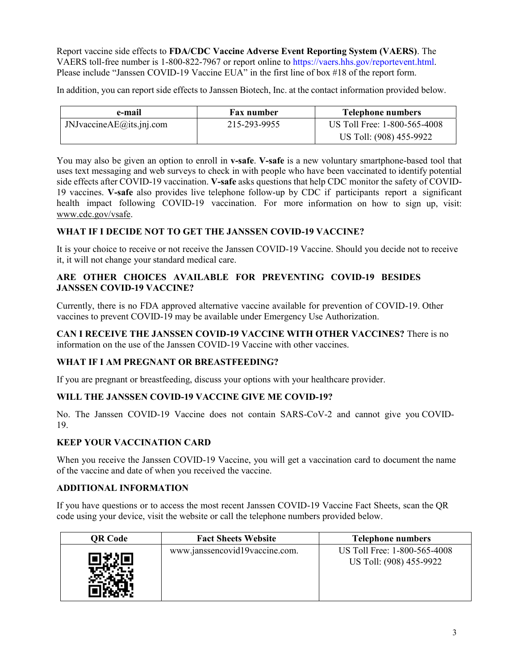Report vaccine side effects to **FDA/CDC Vaccine Adverse Event Reporting System (VAERS)**. The VAERS toll-free number is 1-800-822-7967 or report online to https://vaers.hhs.gov/reportevent.html. Please include "Janssen COVID-19 Vaccine EUA" in the first line of box #18 of the report form.

In addition, you can report side effects to Janssen Biotech, Inc. at the contact information provided below.

| e-mail                       | Fax number   | <b>Telephone numbers</b>     |
|------------------------------|--------------|------------------------------|
| JNJvaccine $AE$ @its.jnj.com | 215-293-9955 | US Toll Free: 1-800-565-4008 |
|                              |              | US Toll: (908) 455-9922      |

You may also be given an option to enroll in **v-safe**. **V-safe** is a new voluntary smartphone-based tool that uses text messaging and web surveys to check in with people who have been vaccinated to identify potential side effects after COVID-19 vaccination. **V-safe** asks questions that help CDC monitor the safety of COVID-19 vaccines. **V-safe** also provides live telephone follow-up by CDC if participants report a significant health impact following COVID-19 vaccination. For more information on how to sign up, visit: www.cdc.gov/vsafe.

## **WHAT IF I DECIDE NOT TO GET THE JANSSEN COVID-19 VACCINE?**

It is your choice to receive or not receive the Janssen COVID-19 Vaccine. Should you decide not to receive it, it will not change your standard medical care.

## **ARE OTHER CHOICES AVAILABLE FOR PREVENTING COVID-19 BESIDES JANSSEN COVID-19 VACCINE?**

Currently, there is no FDA approved alternative vaccine available for prevention of COVID-19. Other vaccines to prevent COVID-19 may be available under Emergency Use Authorization.

**CAN I RECEIVE THE JANSSEN COVID-19 VACCINE WITH OTHER VACCINES?** There is no information on the use of the Janssen COVID-19 Vaccine with other vaccines.

#### **WHAT IF I AM PREGNANT OR BREASTFEEDING?**

If you are pregnant or breastfeeding, discuss your options with your healthcare provider.

#### **WILL THE JANSSEN COVID-19 VACCINE GIVE ME COVID-19?**

No. The Janssen COVID-19 Vaccine does not contain SARS-CoV-2 and cannot give you COVID-19.

## **KEEP YOUR VACCINATION CARD**

When you receive the Janssen COVID-19 Vaccine, you will get a vaccination card to document the name of the vaccine and date of when you received the vaccine.

#### **ADDITIONAL INFORMATION**

If you have questions or to access the most recent Janssen COVID-19 Vaccine Fact Sheets, scan the QR code using your device, visit the website or call the telephone numbers provided below.

| QR Code | <b>Fact Sheets Website</b>     | <b>Telephone numbers</b>                                |
|---------|--------------------------------|---------------------------------------------------------|
|         | www.janssencovid19vaccine.com. | US Toll Free: 1-800-565-4008<br>US Toll: (908) 455-9922 |